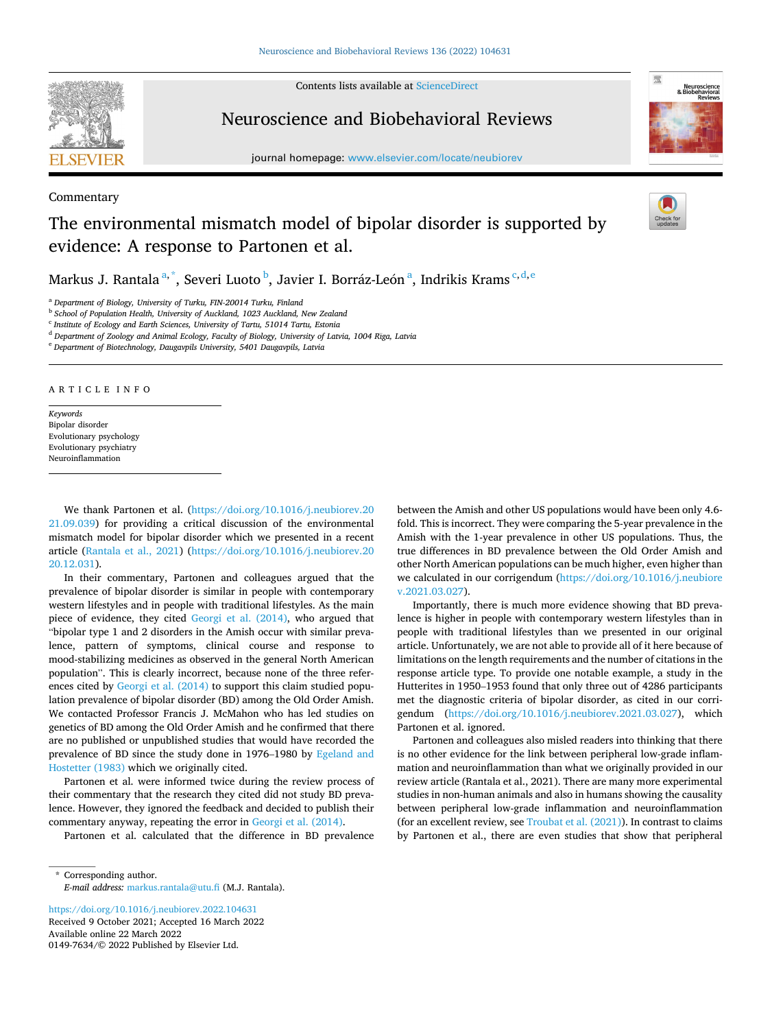Contents lists available at [ScienceDirect](www.sciencedirect.com/science/journal/01497634)

## Neuroscience and Biobehavioral Reviews

journal homepage: [www.elsevier.com/locate/neubiorev](https://www.elsevier.com/locate/neubiorev)

## The environmental mismatch model of bipolar disorder is supported by evidence: A response to Partonen et al.

Markus J. Rantala $^{\mathrm{a},\mathrm{*}}$ , Severi Luoto $^{\mathrm{b}}$ , Javier I. Borráz-León $^{\mathrm{a}}$ , Indrikis Krams $^{\mathrm{c},\mathrm{d},\mathrm{e}}$ 

<sup>a</sup> *Department of Biology, University of Turku, FIN-20014 Turku, Finland* 

**b** School of Population Health, University of Auckland, 1023 Auckland, New Zealand

<sup>c</sup> *Institute of Ecology and Earth Sciences, University of Tartu, 51014 Tartu, Estonia* 

<sup>e</sup> *Department of Biotechnology, Daugavpils University, 5401 Daugavpils, Latvia* 

ARTICLE INFO

*Keywords*  Bipolar disorder Evolutionary psychology Evolutionary psychiatry Neuroinflammation

We thank Partonen et al. ([https://doi.org/10.1016/j.neubiorev.20](https://doi.org/10.1016/j.neubiorev.2021.09.039)  [21.09.039](https://doi.org/10.1016/j.neubiorev.2021.09.039)) for providing a critical discussion of the environmental mismatch model for bipolar disorder which we presented in a recent article [\(Rantala et al., 2021\)](#page-1-0) ([https://doi.org/10.1016/j.neubiorev.20](https://doi.org/10.1016/j.neubiorev.2020.12.031)  [20.12.031](https://doi.org/10.1016/j.neubiorev.2020.12.031)).

In their commentary, Partonen and colleagues argued that the prevalence of bipolar disorder is similar in people with contemporary western lifestyles and in people with traditional lifestyles. As the main piece of evidence, they cited [Georgi et al. \(2014\),](#page-1-0) who argued that "bipolar type 1 and 2 disorders in the Amish occur with similar prevalence, pattern of symptoms, clinical course and response to mood-stabilizing medicines as observed in the general North American population". This is clearly incorrect, because none of the three references cited by [Georgi et al. \(2014\)](#page-1-0) to support this claim studied population prevalence of bipolar disorder (BD) among the Old Order Amish. We contacted Professor Francis J. McMahon who has led studies on genetics of BD among the Old Order Amish and he confirmed that there are no published or unpublished studies that would have recorded the prevalence of BD since the study done in 1976–1980 by [Egeland and](#page-1-0)  [Hostetter \(1983\)](#page-1-0) which we originally cited.

Partonen et al. were informed twice during the review process of their commentary that the research they cited did not study BD prevalence. However, they ignored the feedback and decided to publish their commentary anyway, repeating the error in [Georgi et al. \(2014\).](#page-1-0)

Partonen et al. calculated that the difference in BD prevalence

Available online 22 March 2022 0149-7634/© 2022 Published by Elsevier Ltd. <https://doi.org/10.1016/j.neubiorev.2022.104631> Received 9 October 2021; Accepted 16 March 2022

between the Amish and other US populations would have been only 4.6 fold. This is incorrect. They were comparing the 5-year prevalence in the Amish with the 1-year prevalence in other US populations. Thus, the true differences in BD prevalence between the Old Order Amish and other North American populations can be much higher, even higher than we calculated in our corrigendum [\(https://doi.org/10.1016/j.neubiore](https://doi.org/10.1016/j.neubiorev.2021.03.027)  [v.2021.03.027\)](https://doi.org/10.1016/j.neubiorev.2021.03.027).

Importantly, there is much more evidence showing that BD prevalence is higher in people with contemporary western lifestyles than in people with traditional lifestyles than we presented in our original article. Unfortunately, we are not able to provide all of it here because of limitations on the length requirements and the number of citations in the response article type. To provide one notable example, a study in the Hutterites in 1950–1953 found that only three out of 4286 participants met the diagnostic criteria of bipolar disorder, as cited in our corrigendum [\(https://doi.org/10.1016/j.neubiorev.2021.03.027\)](https://doi.org/10.1016/j.neubiorev.2021.03.027), which Partonen et al. ignored.

Partonen and colleagues also misled readers into thinking that there is no other evidence for the link between peripheral low-grade inflammation and neuroinflammation than what we originally provided in our review article (Rantala et al., 2021). There are many more experimental studies in non-human animals and also in humans showing the causality between peripheral low-grade inflammation and neuroinflammation (for an excellent review, see [Troubat et al. \(2021\)\)](#page-1-0). In contrast to claims by Partonen et al., there are even studies that show that peripheral



Commentary





<sup>&</sup>lt;sup>d</sup> Department of Zoology and Animal Ecology, Faculty of Biology, University of Latvia, 1004 Rīga, Latvia

<sup>\*</sup> Corresponding author. *E-mail address:* [markus.rantala@utu.fi](mailto:markus.rantala@utu.fi) (M.J. Rantala).